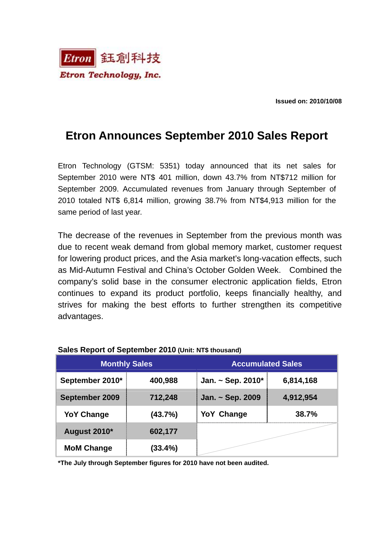

**Issued on: 2010/10/08** 

## **Etron Announces September 2010 Sales Report**

Etron Technology (GTSM: 5351) today announced that its net sales for September 2010 were NT\$ 401 million, down 43.7% from NT\$712 million for September 2009. Accumulated revenues from January through September of 2010 totaled NT\$ 6,814 million, growing 38.7% from NT\$4,913 million for the same period of last year.

The decrease of the revenues in September from the previous month was due to recent weak demand from global memory market, customer request for lowering product prices, and the Asia market's long-vacation effects, such as Mid-Autumn Festival and China's October Golden Week. Combined the company's solid base in the consumer electronic application fields, Etron continues to expand its product portfolio, keeps financially healthy, and strives for making the best efforts to further strengthen its competitive advantages.

| <b>Monthly Sales</b> |         | <b>Accumulated Sales</b> |           |
|----------------------|---------|--------------------------|-----------|
| September 2010*      | 400,988 | Jan. ~ Sep. $2010*$      | 6,814,168 |
| September 2009       | 712,248 | Jan. ~ Sep. 2009         | 4,912,954 |
| <b>YoY Change</b>    | (43.7%) | <b>YoY Change</b>        | 38.7%     |
| August 2010*         | 602,177 |                          |           |
| <b>MoM Change</b>    | (33.4%) |                          |           |

## **Sales Report of September 2010 (Unit: NT\$ thousand)**

**\*The July through September figures for 2010 have not been audited.**